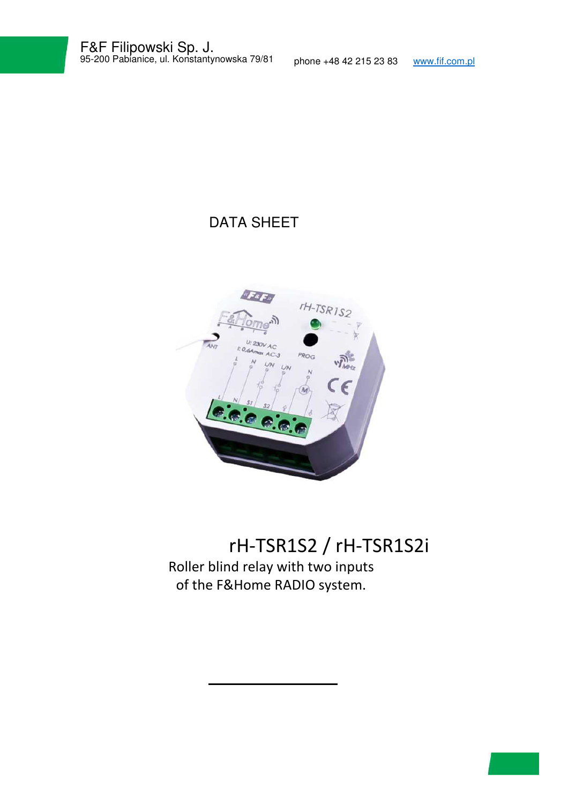## DATA SHEET



# rH-TSR1S2 / rH-TSR1S2i Roller blind relay with two inputs of the F&Home RADIO system.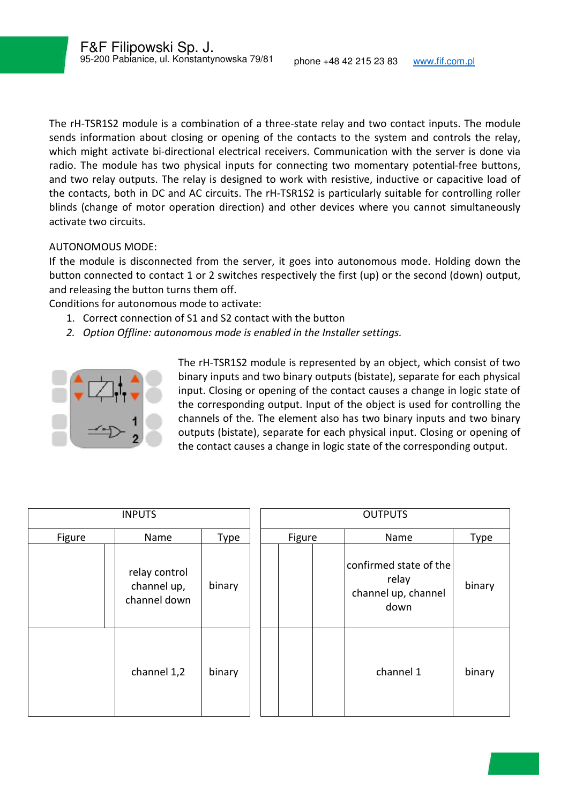The rH-TSR1S2 module is a combination of a three-state relay and two contact inputs. The module sends information about closing or opening of the contacts to the system and controls the relay, which might activate bi-directional electrical receivers. Communication with the server is done via radio. The module has two physical inputs for connecting two momentary potential-free buttons, and two relay outputs. The relay is designed to work with resistive, inductive or capacitive load of the contacts, both in DC and AC circuits. The rH-TSR1S2 is particularly suitable for controlling roller blinds (change of motor operation direction) and other devices where you cannot simultaneously activate two circuits.

#### AUTONOMOUS MODE:

If the module is disconnected from the server, it goes into autonomous mode. Holding down the button connected to contact 1 or 2 switches respectively the first (up) or the second (down) output, and releasing the button turns them off.

Conditions for autonomous mode to activate:

- 1. Correct connection of S1 and S2 contact with the button
- *2. Option Offline: autonomous mode is enabled in the Installer settings.*



The rH-TSR1S2 module is represented by an object, which consist of two binary inputs and two binary outputs (bistate), separate for each physical input. Closing or opening of the contact causes a change in logic state of the corresponding output. Input of the object is used for controlling the channels of the. The element also has two binary inputs and two binary outputs (bistate), separate for each physical input. Closing or opening of the contact causes a change in logic state of the corresponding output.

|        | <b>INPUTS</b>                                |        |        | <b>OUTPUTS</b>                                                 |        |
|--------|----------------------------------------------|--------|--------|----------------------------------------------------------------|--------|
| Figure | Name                                         | Type   | Figure | Name                                                           | Type   |
|        | relay control<br>channel up,<br>channel down | binary |        | confirmed state of the<br>relay<br>channel up, channel<br>down | binary |
|        | channel 1,2                                  | binary |        | channel 1                                                      | binary |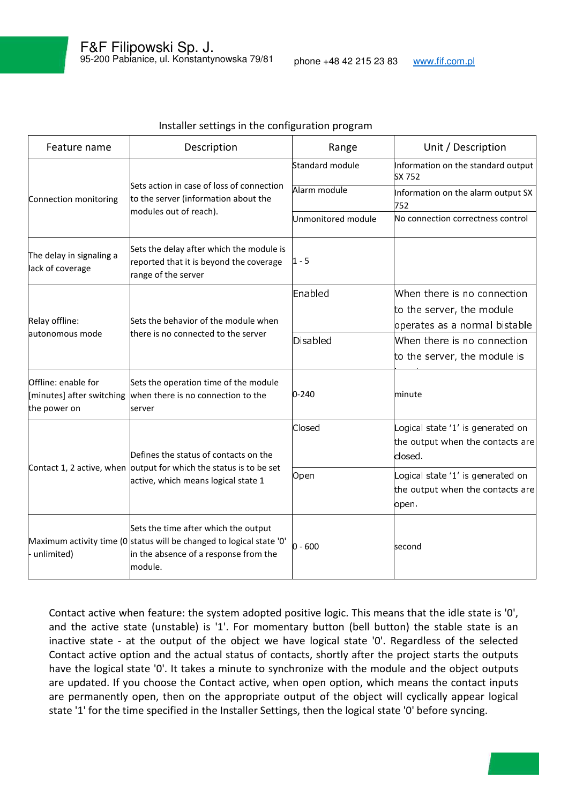| Feature name                                 | Description                                                                                                                                                      | Range              | Unit / Description                                                               |  |
|----------------------------------------------|------------------------------------------------------------------------------------------------------------------------------------------------------------------|--------------------|----------------------------------------------------------------------------------|--|
|                                              |                                                                                                                                                                  | Standard module    | Information on the standard output<br>SX 752                                     |  |
| Connection monitoring                        | Sets action in case of loss of connection<br>to the server (information about the                                                                                | Alarm module       | Information on the alarm output SX<br>752                                        |  |
|                                              | modules out of reach).                                                                                                                                           | Unmonitored module | No connection correctness control                                                |  |
| The delay in signaling a<br>lack of coverage | Sets the delay after which the module is<br>reported that it is beyond the coverage<br>range of the server                                                       | $1 - 5$            |                                                                                  |  |
| Relay offline:<br>lautonomous mode           |                                                                                                                                                                  | Enabled            | When there is no connection                                                      |  |
|                                              | Sets the behavior of the module when<br>there is no connected to the server                                                                                      |                    | to the server, the module                                                        |  |
|                                              |                                                                                                                                                                  |                    | operates as a normal bistable                                                    |  |
|                                              |                                                                                                                                                                  | <b>Disabled</b>    | When there is no connection                                                      |  |
|                                              |                                                                                                                                                                  |                    | to the server, the module is                                                     |  |
| Offline: enable for<br>the power on          | Sets the operation time of the module<br>[minutes] after switching when there is no connection to the<br>server                                                  | $0 - 240$          | minute                                                                           |  |
|                                              | Defines the status of contacts on the                                                                                                                            | Closed             | Logical state '1' is generated on<br>the output when the contacts are<br>closed. |  |
|                                              | Contact 1, 2 active, when output for which the status is to be set<br>active, which means logical state 1                                                        | Open               | Logical state '1' is generated on<br>the output when the contacts are<br>open.   |  |
| - unlimited)                                 | Sets the time after which the output<br>Maximum activity time (0 status will be changed to logical state '0'<br>in the absence of a response from the<br>module. | $0 - 600$          | second                                                                           |  |

#### Installer settings in the configuration program

Contact active when feature: the system adopted positive logic. This means that the idle state is '0', and the active state (unstable) is '1'. For momentary button (bell button) the stable state is an inactive state - at the output of the object we have logical state '0'. Regardless of the selected Contact active option and the actual status of contacts, shortly after the project starts the outputs have the logical state '0'. It takes a minute to synchronize with the module and the object outputs are updated. If you choose the Contact active, when open option, which means the contact inputs are permanently open, then on the appropriate output of the object will cyclically appear logical state '1' for the time specified in the Installer Settings, then the logical state '0' before syncing.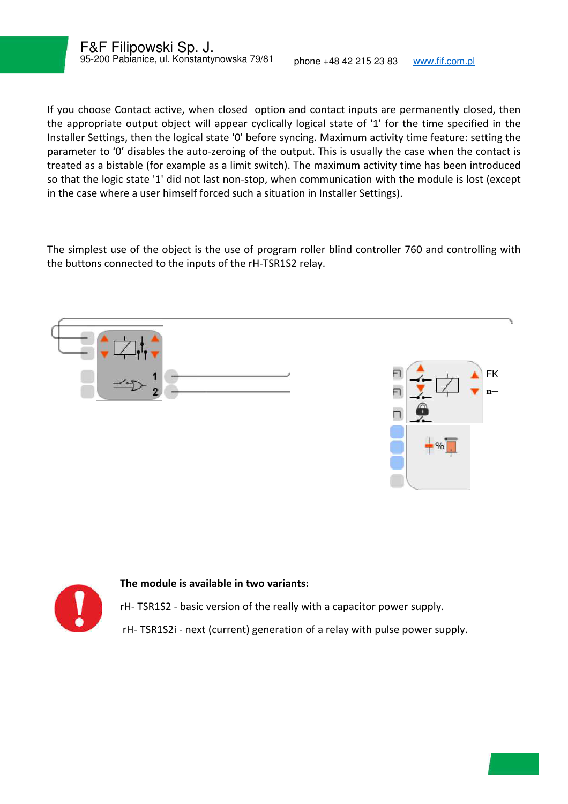ł

If you choose Contact active, when closed option and contact inputs are permanently closed, then the appropriate output object will appear cyclically logical state of '1' for the time specified in the Installer Settings, then the logical state '0' before syncing. Maximum activity time feature: setting the parameter to '0' disables the auto-zeroing of the output. This is usually the case when the contact is treated as a bistable (for example as a limit switch). The maximum activity time has been introduced so that the logic state '1' did not last non-stop, when communication with the module is lost (except in the case where a user himself forced such a situation in Installer Settings).

The simplest use of the object is the use of program roller blind controller 760 and controlling with the buttons connected to the inputs of the rH-TSR1S2 relay.





#### **The module is available in two variants:**

rH- TSR1S2 - basic version of the really with a capacitor power supply. rH- TSR1S2i - next (current) generation of a relay with pulse power supply.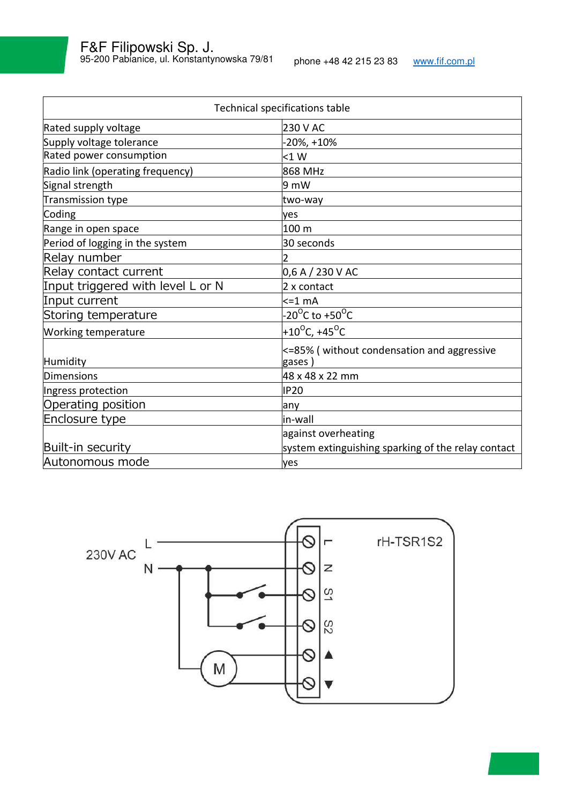| Technical specifications table    |                                                            |  |  |  |  |
|-----------------------------------|------------------------------------------------------------|--|--|--|--|
| Rated supply voltage              | 230 V AC                                                   |  |  |  |  |
| Supply voltage tolerance          | $-20\%$ , $+10\%$                                          |  |  |  |  |
| Rated power consumption           | $<$ 1 $W$                                                  |  |  |  |  |
| Radio link (operating frequency)  | 868 MHz                                                    |  |  |  |  |
| Signal strength                   | 9 mW                                                       |  |  |  |  |
| Transmission type                 | two-way                                                    |  |  |  |  |
| Coding                            | yes                                                        |  |  |  |  |
| Range in open space               | 100 m                                                      |  |  |  |  |
| Period of logging in the system   | 30 seconds                                                 |  |  |  |  |
| Relay number                      |                                                            |  |  |  |  |
| Relay contact current             | 0,6 A / 230 V AC                                           |  |  |  |  |
| Input triggered with level L or N | 2 x contact                                                |  |  |  |  |
| Input current                     | $\leq$ = 1 mA                                              |  |  |  |  |
| Storing temperature               | -20 <sup>o</sup> C to +50 <sup>o</sup> C                   |  |  |  |  |
| <b>Working temperature</b>        | +10 <sup>o</sup> C, +45 <sup>o</sup> C                     |  |  |  |  |
| Humidity                          | $\leq$ =85% (without condensation and aggressive<br>gases) |  |  |  |  |
| Dimensions                        | 48 x 48 x 22 mm                                            |  |  |  |  |
| Ingress protection                | <b>IP20</b>                                                |  |  |  |  |
| Operating position                | anv                                                        |  |  |  |  |
| Enclosure type                    | in-wall                                                    |  |  |  |  |
|                                   | against overheating                                        |  |  |  |  |
| Built-in security                 | system extinguishing sparking of the relay contact         |  |  |  |  |
| Autonomous mode                   | yes                                                        |  |  |  |  |